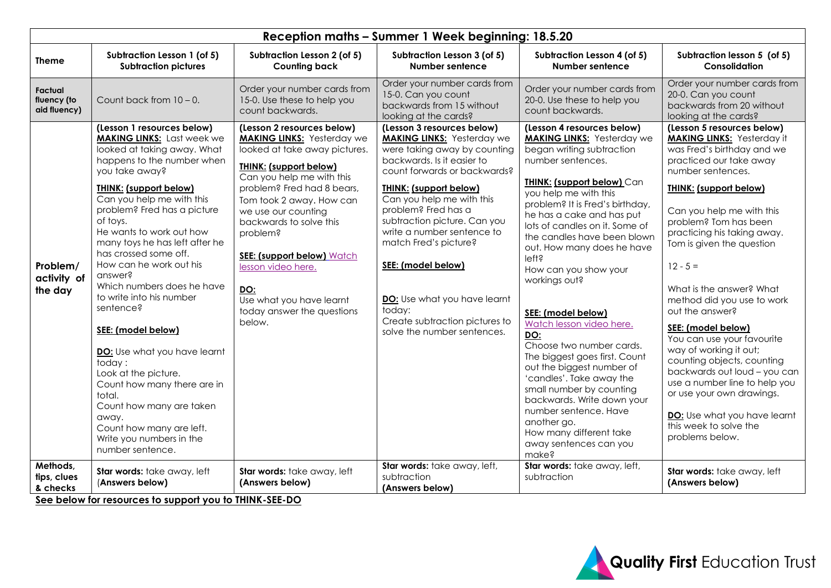| Reception maths - Summer 1 Week beginning: 18.5.20 |                                                                                                                                                                                                                                                                                                                                                                                                                                                                                                                                                                                                                                                                                                               |                                                                                                                                                                                                                                                                                                                                                                                                                              |                                                                                                                                                                                                                                                                                                                                                                                                                                                                            |                                                                                                                                                                                                                                                                                                                                                                                                                                                                                                                                                                                                                                                                                                                                                         |                                                                                                                                                                                                                                                                                                                                                                                                                                                                                                                                                                                                                                                                                    |  |  |  |  |
|----------------------------------------------------|---------------------------------------------------------------------------------------------------------------------------------------------------------------------------------------------------------------------------------------------------------------------------------------------------------------------------------------------------------------------------------------------------------------------------------------------------------------------------------------------------------------------------------------------------------------------------------------------------------------------------------------------------------------------------------------------------------------|------------------------------------------------------------------------------------------------------------------------------------------------------------------------------------------------------------------------------------------------------------------------------------------------------------------------------------------------------------------------------------------------------------------------------|----------------------------------------------------------------------------------------------------------------------------------------------------------------------------------------------------------------------------------------------------------------------------------------------------------------------------------------------------------------------------------------------------------------------------------------------------------------------------|---------------------------------------------------------------------------------------------------------------------------------------------------------------------------------------------------------------------------------------------------------------------------------------------------------------------------------------------------------------------------------------------------------------------------------------------------------------------------------------------------------------------------------------------------------------------------------------------------------------------------------------------------------------------------------------------------------------------------------------------------------|------------------------------------------------------------------------------------------------------------------------------------------------------------------------------------------------------------------------------------------------------------------------------------------------------------------------------------------------------------------------------------------------------------------------------------------------------------------------------------------------------------------------------------------------------------------------------------------------------------------------------------------------------------------------------------|--|--|--|--|
| <b>Theme</b>                                       | Subtraction Lesson 1 (of 5)<br><b>Subtraction pictures</b>                                                                                                                                                                                                                                                                                                                                                                                                                                                                                                                                                                                                                                                    | Subtraction Lesson 2 (of 5)<br><b>Counting back</b>                                                                                                                                                                                                                                                                                                                                                                          | Subtraction Lesson 3 (of 5)<br>Number sentence                                                                                                                                                                                                                                                                                                                                                                                                                             | Subtraction Lesson 4 (of 5)<br><b>Number sentence</b>                                                                                                                                                                                                                                                                                                                                                                                                                                                                                                                                                                                                                                                                                                   | Subtraction lesson 5 (of 5)<br>Consolidation                                                                                                                                                                                                                                                                                                                                                                                                                                                                                                                                                                                                                                       |  |  |  |  |
| Factual<br>fluency (to<br>aid fluency)             | Count back from $10 - 0$ .                                                                                                                                                                                                                                                                                                                                                                                                                                                                                                                                                                                                                                                                                    | Order your number cards from<br>15-0. Use these to help you<br>count backwards.                                                                                                                                                                                                                                                                                                                                              | Order your number cards from<br>15-0. Can you count<br>backwards from 15 without<br>looking at the cards?                                                                                                                                                                                                                                                                                                                                                                  | Order your number cards from<br>20-0. Use these to help you<br>count backwards.                                                                                                                                                                                                                                                                                                                                                                                                                                                                                                                                                                                                                                                                         | Order your number cards from<br>20-0. Can you count<br>backwards from 20 without<br>looking at the cards?                                                                                                                                                                                                                                                                                                                                                                                                                                                                                                                                                                          |  |  |  |  |
| Problem/<br>activity of<br>the day                 | (Lesson 1 resources below)<br><b>MAKING LINKS:</b> Last week we<br>looked at taking away. What<br>happens to the number when<br>you take away?<br><b>THINK: (support below)</b><br>Can you help me with this<br>problem? Fred has a picture<br>of toys.<br>He wants to work out how<br>many toys he has left after he<br>has crossed some off.<br>How can he work out his<br>answer?<br>Which numbers does he have<br>to write into his number<br>sentence?<br>SEE: (model below)<br>DO: Use what you have learnt<br>today:<br>Look at the picture.<br>Count how many there are in<br>total.<br>Count how many are taken<br>away.<br>Count how many are left.<br>Write you numbers in the<br>number sentence. | (Lesson 2 resources below)<br><b>MAKING LINKS: Yesterday we</b><br>looked at take away pictures.<br><b>THINK: (support below)</b><br>Can you help me with this<br>problem? Fred had 8 bears,<br>Tom took 2 away. How can<br>we use our counting<br>backwards to solve this<br>problem?<br>SEE: (support below) Watch<br>lesson video here.<br><u>DO:</u><br>Use what you have learnt<br>today answer the questions<br>below. | (Lesson 3 resources below)<br><b>MAKING LINKS: Yesterday we</b><br>were taking away by counting<br>backwards. Is it easier to<br>count forwards or backwards?<br><b>THINK: (support below)</b><br>Can you help me with this<br>problem? Fred has a<br>subtraction picture. Can you<br>write a number sentence to<br>match Fred's picture?<br>SEE: (model below)<br>DO: Use what you have learnt<br>today:<br>Create subtraction pictures to<br>solve the number sentences. | (Lesson 4 resources below)<br><b>MAKING LINKS:</b> Yesterday we<br>began writing subtraction<br>number sentences.<br><b>THINK: (support below) Can</b><br>you help me with this<br>problem? It is Fred's birthday,<br>he has a cake and has put<br>lots of candles on it. Some of<br>the candles have been blown<br>out. How many does he have<br>left?<br>How can you show your<br>workings out?<br>SEE: (model below)<br>Watch lesson video here.<br><b>DO:</b><br>Choose two number cards.<br>The biggest goes first. Count<br>out the biggest number of<br>'candles'. Take away the<br>small number by counting<br>backwards. Write down your<br>number sentence. Have<br>another go.<br>How many different take<br>away sentences can you<br>make? | (Lesson 5 resources below)<br><b>MAKING LINKS: Yesterday it</b><br>was Fred's birthday and we<br>practiced our take away<br>number sentences.<br><b>THINK: (support below)</b><br>Can you help me with this<br>problem? Tom has been<br>practicing his taking away.<br>Tom is given the question<br>$12 - 5 =$<br>What is the answer? What<br>method did you use to work<br>out the answer?<br>SEE: (model below)<br>You can use your favourite<br>way of working it out;<br>counting objects, counting<br>backwards out loud - you can<br>use a number line to help you<br>or use your own drawings.<br>DO: Use what you have learnt<br>this week to solve the<br>problems below. |  |  |  |  |
| Methods,<br>tips, clues<br>& checks                | Star words: take away, left<br>(Answers below)<br>See below for resources to support you to THINK-SEE-DO                                                                                                                                                                                                                                                                                                                                                                                                                                                                                                                                                                                                      | Star words: take away, left<br>(Answers below)                                                                                                                                                                                                                                                                                                                                                                               | Star words: take away, left,<br>subtraction<br>(Answers below)                                                                                                                                                                                                                                                                                                                                                                                                             | Star words: take away, left,<br>subtraction                                                                                                                                                                                                                                                                                                                                                                                                                                                                                                                                                                                                                                                                                                             | Star words: take away, left<br>(Answers below)                                                                                                                                                                                                                                                                                                                                                                                                                                                                                                                                                                                                                                     |  |  |  |  |

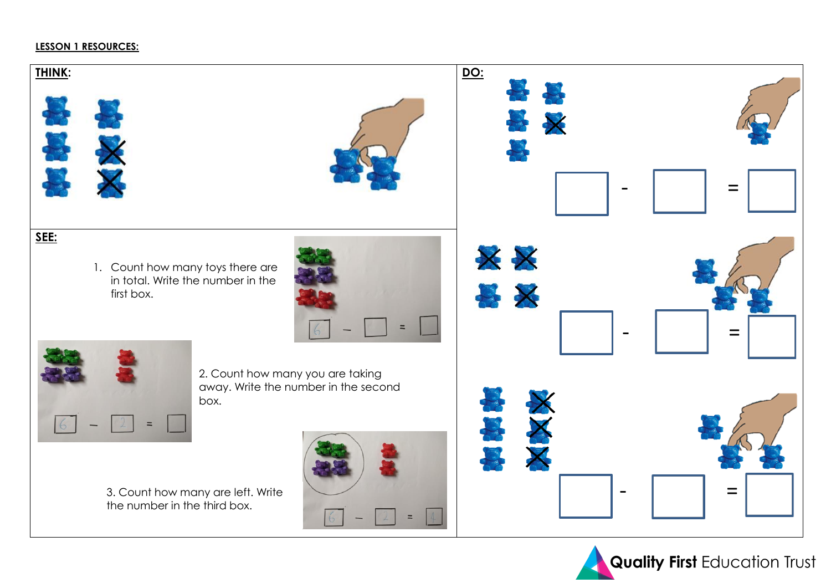## **LESSON 1 RESOURCES:**



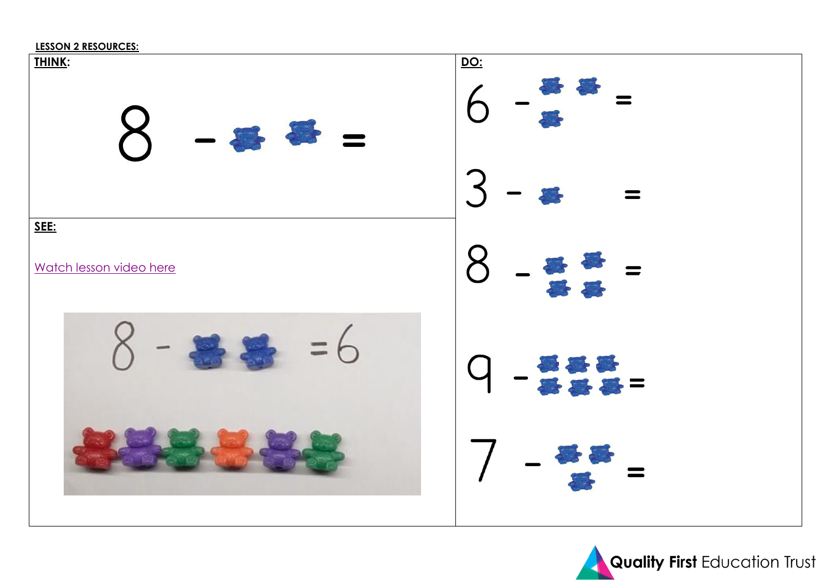



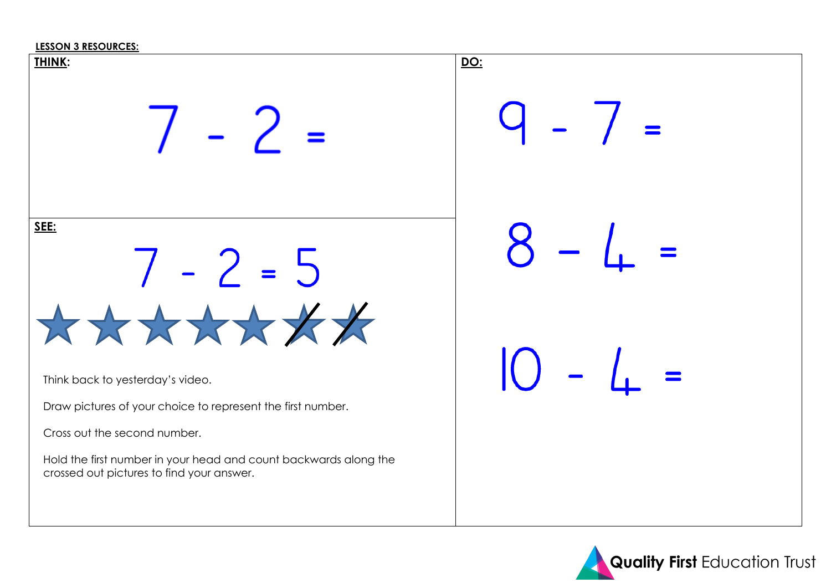### **LESSON 3 RESOURCES:**



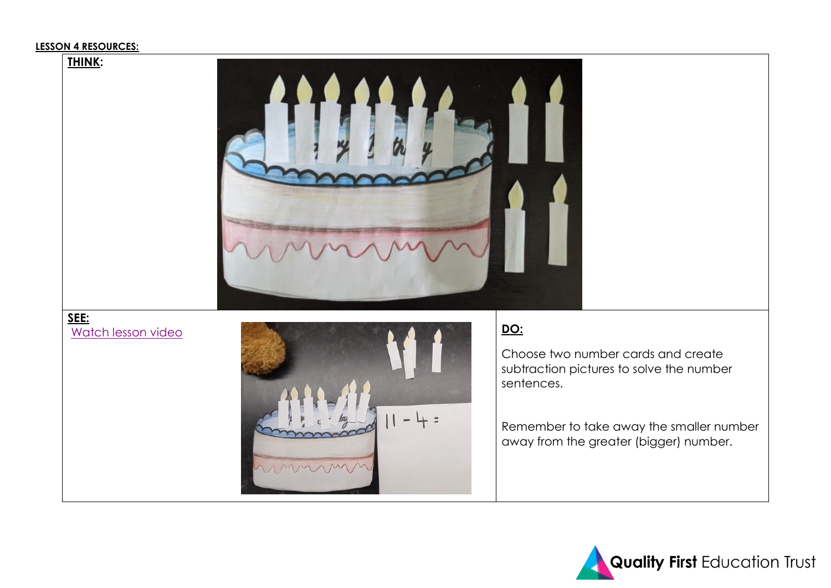## **LESSON 4 RESOURCES:**



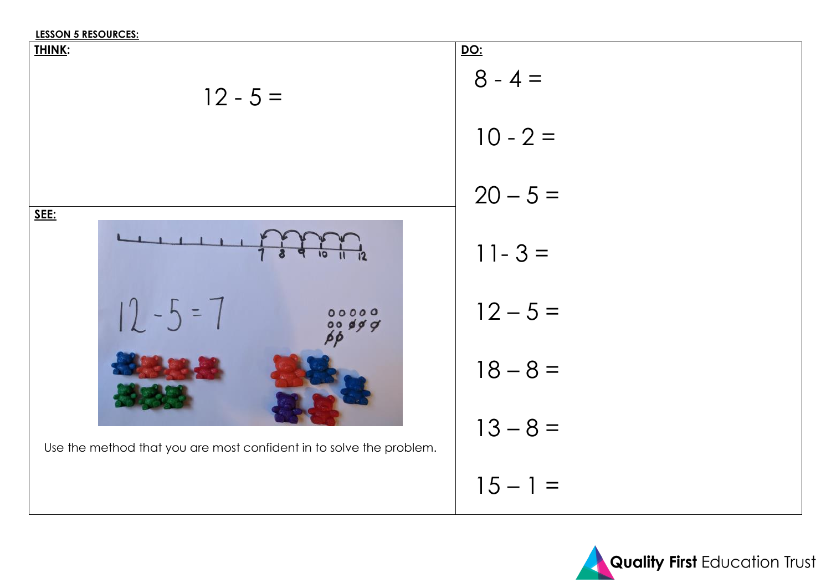### **LESSON 5 RESOURCES:**



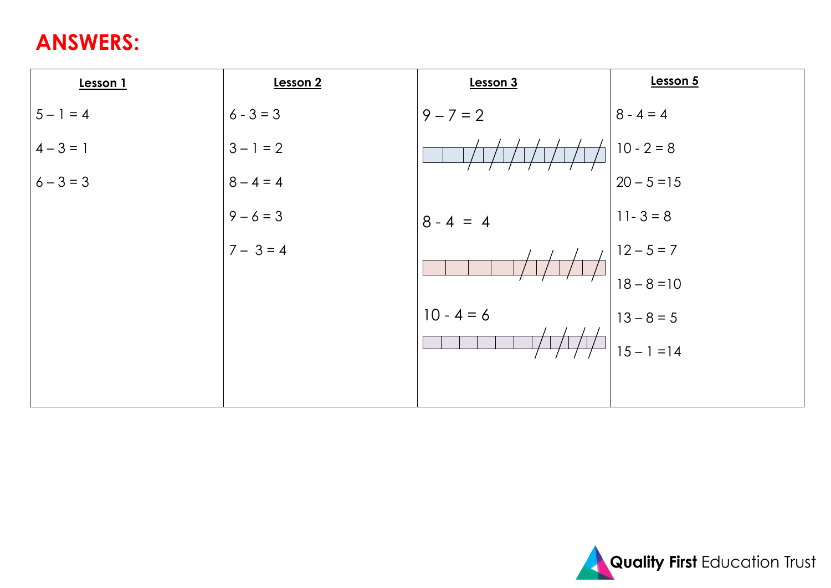# **ANSWERS:**

| Lesson 1    | Lesson 2    | Lesson 3     | Lesson 5      |
|-------------|-------------|--------------|---------------|
| $5 - 1 = 4$ | $6 - 3 = 3$ | $9 - 7 = 2$  | $8 - 4 = 4$   |
| $4 - 3 = 1$ | $3 - 1 = 2$ |              | $10 - 2 = 8$  |
| $6 - 3 = 3$ | $8 - 4 = 4$ |              | $20 - 5 = 15$ |
|             | $9 - 6 = 3$ | $8 - 4 = 4$  | $11 - 3 = 8$  |
|             | $7 - 3 = 4$ |              | $12 - 5 = 7$  |
|             |             |              | $18 - 8 = 10$ |
|             |             | $10 - 4 = 6$ | $13 - 8 = 5$  |
|             |             |              | $15 - 1 = 14$ |
|             |             |              |               |